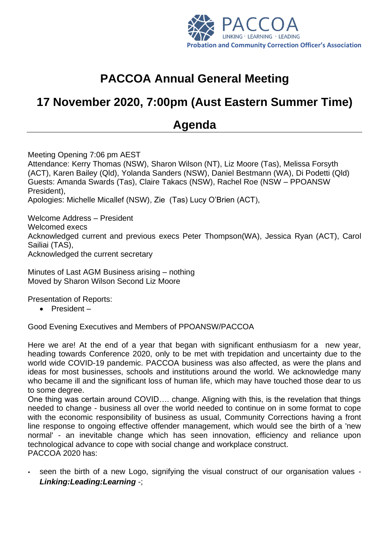

# **PACCOA Annual General Meeting**

## **17 November 2020, 7:00pm (Aust Eastern Summer Time)**

### **Agenda**

Meeting Opening 7:06 pm AEST Attendance: Kerry Thomas (NSW), Sharon Wilson (NT), Liz Moore (Tas), Melissa Forsyth (ACT), Karen Bailey (Qld), Yolanda Sanders (NSW), Daniel Bestmann (WA), Di Podetti (Qld) Guests: Amanda Swards (Tas), Claire Takacs (NSW), Rachel Roe (NSW – PPOANSW President), Apologies: Michelle Micallef (NSW), Zie (Tas) Lucy O'Brien (ACT),

Welcome Address – President Welcomed execs Acknowledged current and previous execs Peter Thompson(WA), Jessica Ryan (ACT), Carol Sailiai (TAS), Acknowledged the current secretary

Minutes of Last AGM Business arising – nothing Moved by Sharon Wilson Second Liz Moore

Presentation of Reports:

• President –

Good Evening Executives and Members of PPOANSW/PACCOA

Here we are! At the end of a year that began with significant enthusiasm for a new year, heading towards Conference 2020, only to be met with trepidation and uncertainty due to the world wide COVID-19 pandemic. PACCOA business was also affected, as were the plans and ideas for most businesses, schools and institutions around the world. We acknowledge many who became ill and the significant loss of human life, which may have touched those dear to us to some degree.

One thing was certain around COVID…. change. Aligning with this, is the revelation that things needed to change - business all over the world needed to continue on in some format to cope with the economic responsibility of business as usual, Community Corrections having a front line response to ongoing effective offender management, which would see the birth of a 'new normal' - an inevitable change which has seen innovation, efficiency and reliance upon technological advance to cope with social change and workplace construct. PACCOA 2020 has:

 seen the birth of a new Logo, signifying the visual construct of our organisation values - *Linking:Leading:Learning* -;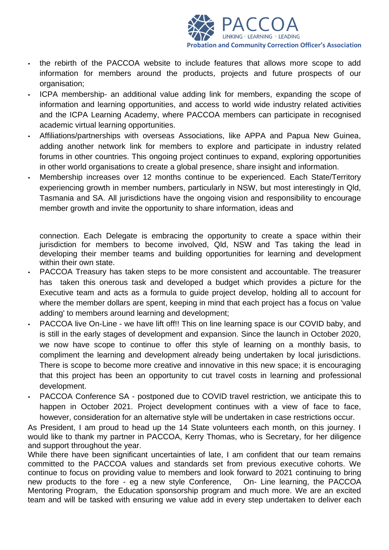

- The rebirth of the PACCOA website to include features that allows more scope to add information for members around the products, projects and future prospects of our organisation;
- ICPA membership- an additional value adding link for members, expanding the scope of information and learning opportunities, and access to world wide industry related activities and the ICPA Learning Academy, where PACCOA members can participate in recognised academic virtual learning opportunities.
- Affiliations/partnerships with overseas Associations, like APPA and Papua New Guinea, adding another network link for members to explore and participate in industry related forums in other countries. This ongoing project continues to expand, exploring opportunities in other world organisations to create a global presence, share insight and information.
- Membership increases over 12 months continue to be experienced. Each State/Territory experiencing growth in member numbers, particularly in NSW, but most interestingly in Qld, Tasmania and SA. All jurisdictions have the ongoing vision and responsibility to encourage member growth and invite the opportunity to share information, ideas and

connection. Each Delegate is embracing the opportunity to create a space within their jurisdiction for members to become involved, Qld, NSW and Tas taking the lead in developing their member teams and building opportunities for learning and development within their own state.

- PACCOA Treasury has taken steps to be more consistent and accountable. The treasurer has taken this onerous task and developed a budget which provides a picture for the Executive team and acts as a formula to guide project develop, holding all to account for where the member dollars are spent, keeping in mind that each project has a focus on 'value adding' to members around learning and development;
- PACCOA live On-Line we have lift off!! This on line learning space is our COVID baby, and is still in the early stages of development and expansion. Since the launch in October 2020, we now have scope to continue to offer this style of learning on a monthly basis, to compliment the learning and development already being undertaken by local jurisdictions. There is scope to become more creative and innovative in this new space; it is encouraging that this project has been an opportunity to cut travel costs in learning and professional development.
- PACCOA Conference SA postponed due to COVID travel restriction, we anticipate this to happen in October 2021. Project development continues with a view of face to face, however, consideration for an alternative style will be undertaken in case restrictions occur.

As President, I am proud to head up the 14 State volunteers each month, on this journey. I would like to thank my partner in PACCOA, Kerry Thomas, who is Secretary, for her diligence and support throughout the year.

While there have been significant uncertainties of late, I am confident that our team remains committed to the PACCOA values and standards set from previous executive cohorts. We continue to focus on providing value to members and look forward to 2021 continuing to bring new products to the fore - eg a new style Conference, On- Line learning, the PACCOA Mentoring Program, the Education sponsorship program and much more. We are an excited team and will be tasked with ensuring we value add in every step undertaken to deliver each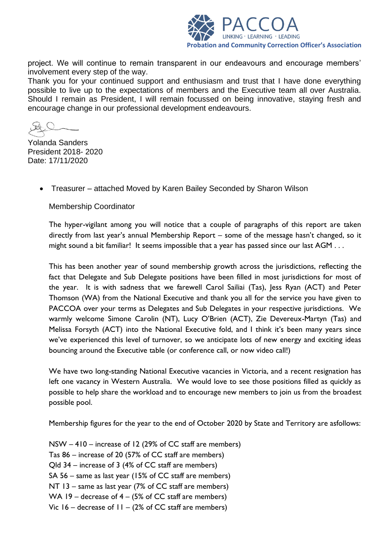

project. We will continue to remain transparent in our endeavours and encourage members' involvement every step of the way.

Thank you for your continued support and enthusiasm and trust that I have done everything possible to live up to the expectations of members and the Executive team all over Australia. Should I remain as President, I will remain focussed on being innovative, staying fresh and encourage change in our professional development endeavours.

Yolanda Sanders President 2018- 2020 Date: 17/11/2020

• Treasurer – attached Moved by Karen Bailey Seconded by Sharon Wilson

Membership Coordinator

The hyper-vigilant among you will notice that a couple of paragraphs of this report are taken directly from last year's annual Membership Report – some of the message hasn't changed, so it might sound a bit familiar! It seems impossible that a year has passed since our last AGM . . .

This has been another year of sound membership growth across the jurisdictions, reflecting the fact that Delegate and Sub Delegate positions have been filled in most jurisdictions for most of the year. It is with sadness that we farewell Carol Sailiai (Tas), Jess Ryan (ACT) and Peter Thomson (WA) from the National Executive and thank you all for the service you have given to PACCOA over your terms as Delegates and Sub Delegates in your respective jurisdictions. We warmly welcome Simone Carolin (NT), Lucy O'Brien (ACT), Zie Devereux-Martyn (Tas) and Melissa Forsyth (ACT) into the National Executive fold, and I think it's been many years since we've experienced this level of turnover, so we anticipate lots of new energy and exciting ideas bouncing around the Executive table (or conference call, or now video call!)

We have two long-standing National Executive vacancies in Victoria, and a recent resignation has left one vacancy in Western Australia. We would love to see those positions filled as quickly as possible to help share the workload and to encourage new members to join us from the broadest possible pool.

Membership figures for the year to the end of October 2020 by State and Territory are asfollows:

NSW – 410 – increase of 12 (29% of CC staff are members) Tas 86 – increase of 20 (57% of CC staff are members) Qld 34 – increase of 3 (4% of CC staff are members) SA 56 – same as last year (15% of CC staff are members) NT 13 – same as last year (7% of CC staff are members) WA 19 – decrease of  $4 - (5\% \text{ of CC staff are members})$ Vic  $16$  – decrease of  $11 - (2\%)$  of CC staff are members)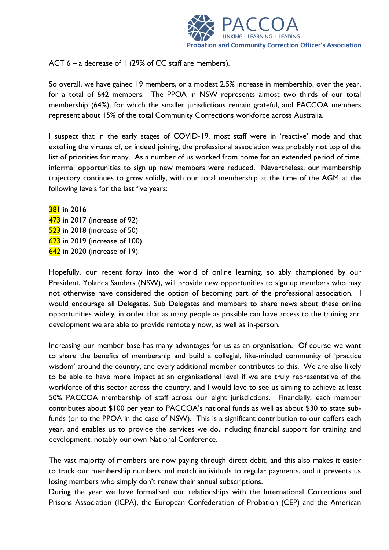

ACT  $6 - a$  decrease of 1 (29% of CC staff are members).

So overall, we have gained 19 members, or a modest 2.5% increase in membership, over the year, for a total of 642 members. The PPOA in NSW represents almost two thirds of our total membership (64%), for which the smaller jurisdictions remain grateful, and PACCOA members represent about 15% of the total Community Corrections workforce across Australia.

I suspect that in the early stages of COVID-19, most staff were in 'reactive' mode and that extolling the virtues of, or indeed joining, the professional association was probably not top of the list of priorities for many. As a number of us worked from home for an extended period of time, informal opportunities to sign up new members were reduced. Nevertheless, our membership trajectory continues to grow solidly, with our total membership at the time of the AGM at the following levels for the last five years:

**381** in 2016 in 2017 (increase of 92) in 2018 (increase of 50) in 2019 (increase of 100) in 2020 (increase of 19).

Hopefully, our recent foray into the world of online learning, so ably championed by our President, Yolanda Sanders (NSW), will provide new opportunities to sign up members who may not otherwise have considered the option of becoming part of the professional association. I would encourage all Delegates, Sub Delegates and members to share news about these online opportunities widely, in order that as many people as possible can have access to the training and development we are able to provide remotely now, as well as in-person.

Increasing our member base has many advantages for us as an organisation. Of course we want to share the benefits of membership and build a collegial, like-minded community of 'practice wisdom' around the country, and every additional member contributes to this. We are also likely to be able to have more impact at an organisational level if we are truly representative of the workforce of this sector across the country, and I would love to see us aiming to achieve at least 50% PACCOA membership of staff across our eight jurisdictions. Financially, each member contributes about \$100 per year to PACCOA's national funds as well as about \$30 to state subfunds (or to the PPOA in the case of NSW). This is a significant contribution to our coffers each year, and enables us to provide the services we do, including financial support for training and development, notably our own National Conference.

The vast majority of members are now paying through direct debit, and this also makes it easier to track our membership numbers and match individuals to regular payments, and it prevents us losing members who simply don't renew their annual subscriptions.

During the year we have formalised our relationships with the International Corrections and Prisons Association (ICPA), the European Confederation of Probation (CEP) and the American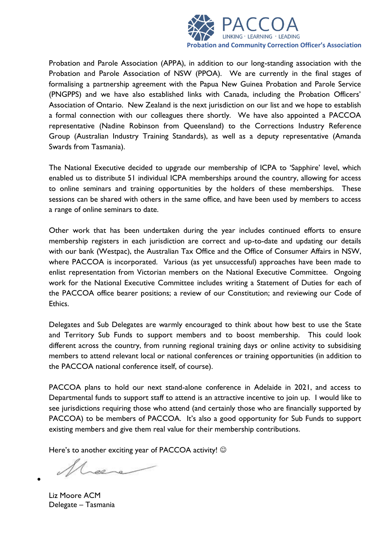

Probation and Parole Association (APPA), in addition to our long-standing association with the Probation and Parole Association of NSW (PPOA). We are currently in the final stages of formalising a partnership agreement with the Papua New Guinea Probation and Parole Service (PNGPPS) and we have also established links with Canada, including the Probation Officers' Association of Ontario. New Zealand is the next jurisdiction on our list and we hope to establish a formal connection with our colleagues there shortly. We have also appointed a PACCOA representative (Nadine Robinson from Queensland) to the Corrections Industry Reference Group (Australian Industry Training Standards), as well as a deputy representative (Amanda Swards from Tasmania).

The National Executive decided to upgrade our membership of ICPA to 'Sapphire' level, which enabled us to distribute 51 individual ICPA memberships around the country, allowing for access to online seminars and training opportunities by the holders of these memberships. These sessions can be shared with others in the same office, and have been used by members to access a range of online seminars to date.

Other work that has been undertaken during the year includes continued efforts to ensure membership registers in each jurisdiction are correct and up-to-date and updating our details with our bank (Westpac), the Australian Tax Office and the Office of Consumer Affairs in NSW, where PACCOA is incorporated. Various (as yet unsuccessful) approaches have been made to enlist representation from Victorian members on the National Executive Committee. Ongoing work for the National Executive Committee includes writing a Statement of Duties for each of the PACCOA office bearer positions; a review of our Constitution; and reviewing our Code of Ethics.

Delegates and Sub Delegates are warmly encouraged to think about how best to use the State and Territory Sub Funds to support members and to boost membership. This could look different across the country, from running regional training days or online activity to subsidising members to attend relevant local or national conferences or training opportunities (in addition to the PACCOA national conference itself, of course).

PACCOA plans to hold our next stand-alone conference in Adelaide in 2021, and access to Departmental funds to support staff to attend is an attractive incentive to join up. I would like to see jurisdictions requiring those who attend (and certainly those who are financially supported by PACCOA) to be members of PACCOA. It's also a good opportunity for Sub Funds to support existing members and give them real value for their membership contributions.

Here's to another exciting year of PACCOA activity!  $\odot$ 

Liz Moore ACM Delegate – Tasmania

•